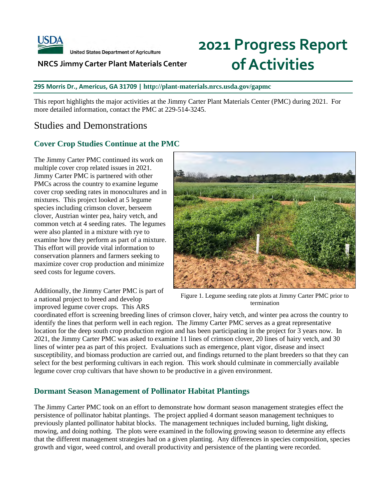

**United States Department of Agriculture** 

#### **NRCS Jimmy Carter Plant Materials Center**

# **2021 Progress Report of Activities**

#### **295 Morris Dr., Americus, GA 31709 | <http://plant-materials.nrcs.usda.gov/gapmc>**

This report highlights the major activities at the Jimmy Carter Plant Materials Center (PMC) during 2021. For more detailed information, contact the PMC at 229-514-3245.

# Studies and Demonstrations

#### **Cover Crop Studies Continue at the PMC**

The Jimmy Carter PMC continued its work on multiple cover crop related issues in 2021. Jimmy Carter PMC is partnered with other PMCs across the country to examine legume cover crop seeding rates in monocultures and in mixtures. This project looked at 5 legume species including crimson clover, berseem clover, Austrian winter pea, hairy vetch, and common vetch at 4 seeding rates. The legumes were also planted in a mixture with rye to examine how they perform as part of a mixture. This effort will provide vital information to conservation planners and farmers seeking to maximize cover crop production and minimize seed costs for legume covers.

Additionally, the Jimmy Carter PMC is part of a national project to breed and develop improved legume cover crops. This ARS



Figure 1. Legume seeding rate plots at Jimmy Carter PMC prior to termination

coordinated effort is screening breeding lines of crimson clover, hairy vetch, and winter pea across the country to identify the lines that perform well in each region. The Jimmy Carter PMC serves as a great representative location for the deep south crop production region and has been participating in the project for 3 years now. In 2021, the Jimmy Carter PMC was asked to examine 11 lines of crimson clover, 20 lines of hairy vetch, and 30 lines of winter pea as part of this project. Evaluations such as emergence, plant vigor, disease and insect susceptibility, and biomass production are carried out, and findings returned to the plant breeders so that they can select for the best performing cultivars in each region. This work should culminate in commercially available legume cover crop cultivars that have shown to be productive in a given environment.

#### **Dormant Season Management of Pollinator Habitat Plantings**

The Jimmy Carter PMC took on an effort to demonstrate how dormant season management strategies effect the persistence of pollinator habitat plantings. The project applied 4 dormant season management techniques to previously planted pollinator habitat blocks. The management techniques included burning, light disking, mowing, and doing nothing. The plots were examined in the following growing season to determine any effects that the different management strategies had on a given planting. Any differences in species composition, species growth and vigor, weed control, and overall productivity and persistence of the planting were recorded.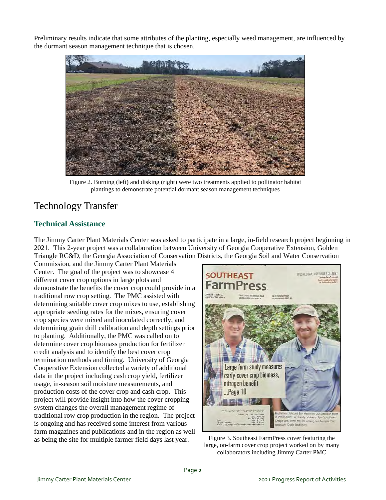Preliminary results indicate that some attributes of the planting, especially weed management, are influenced by the dormant season management technique that is chosen.



Figure 2. Burning (left) and disking (right) were two treatments applied to pollinator habitat plantings to demonstrate potential dormant season management techniques

# Technology Transfer

# **Technical Assistance**

The Jimmy Carter Plant Materials Center was asked to participate in a large, in-field research project beginning in 2021. This 2-year project was a collaboration between University of Georgia Cooperative Extension, Golden Triangle RC&D, the Georgia Association of Conservation Districts, the Georgia Soil and Water Conservation

Commission, and the Jimmy Carter Plant Materials Center. The goal of the project was to showcase 4 different cover crop options in large plots and demonstrate the benefits the cover crop could provide in a traditional row crop setting. The PMC assisted with determining suitable cover crop mixes to use, establishing appropriate seeding rates for the mixes, ensuring cover crop species were mixed and inoculated correctly, and determining grain drill calibration and depth settings prior to planting. Additionally, the PMC was called on to determine cover crop biomass production for fertilizer credit analysis and to identify the best cover crop termination methods and timing. University of Georgia Cooperative Extension collected a variety of additional data in the project including cash crop yield, fertilizer usage, in-season soil moisture measurements, and production costs of the cover crop and cash crop. This project will provide insight into how the cover cropping system changes the overall management regime of traditional row crop production in the region. The project is ongoing and has received some interest from various farm magazines and publications and in the region as well as being the site for multiple farmer field days last year.



Figure 3. Southeast FarmPress cover featuring the large, on-farm cover crop project worked on by many collaborators including Jimmy Carter PMC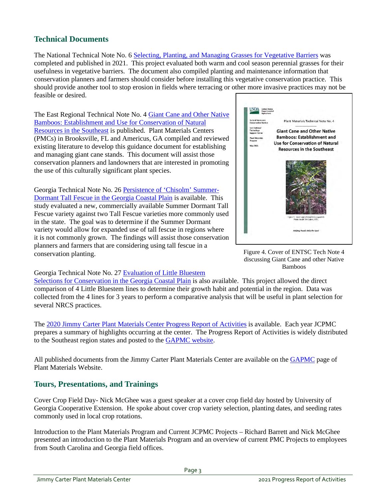# **Technical Documents**

The National Technical Note No. 6 [Selecting, Planting, and Managing Grasses for Vegetative Barriers](https://www.nrcs.usda.gov/Internet/FSE_PLANTMATERIALS/publications/natpmtn13722.pdf) was completed and published in 2021. This project evaluated both warm and cool season perennial grasses for their usefulness in vegetative barriers. The document also compiled planting and maintenance information that conservation planners and farmers should consider before installing this vegetative conservation practice. This should provide another tool to stop erosion in fields where terracing or other more invasive practices may not be feasible or desired.

The East Regional Technical Note No. 4 [Giant Cane and Other Native](https://www.nrcs.usda.gov/Internet/FSE_PLANTMATERIALS/publications/flpmctn13727.pdf)  [Bamboos: Establishment and Use for Conservation of Natural](https://www.nrcs.usda.gov/Internet/FSE_PLANTMATERIALS/publications/flpmctn13727.pdf)  [Resources in the Southeast](https://www.nrcs.usda.gov/Internet/FSE_PLANTMATERIALS/publications/flpmctn13727.pdf) is published. Plant Materials Centers (PMCs) in Brooksville, FL and Americus, GA compiled and reviewed existing literature to develop this guidance document for establishing and managing giant cane stands. This document will assist those conservation planners and landowners that are interested in promoting the use of this culturally significant plant species.

Georgia Technical Note No. 26 [Persistence of 'Chisolm' Summer-](https://www.nrcs.usda.gov/Internet/FSE_PLANTMATERIALS/publications/gapmctn13728.pdf)[Dormant Tall Fescue in the Georgia Coastal Plain](https://www.nrcs.usda.gov/Internet/FSE_PLANTMATERIALS/publications/gapmctn13728.pdf) is available. This study evaluated a new, commercially available Summer Dormant Tall Fescue variety against two Tall Fescue varieties more commonly used in the state. The goal was to determine if the Summer Dormant variety would allow for expanded use of tall fescue in regions where it is not commonly grown. The findings will assist those conservation planners and farmers that are considering using tall fescue in a conservation planting.



Figure 4. Cover of ENTSC Tech Note 4 discussing Giant Cane and other Native Bamboos

#### Georgia Technical Note No. 27 [Evaluation of Little Bluestem](https://www.nrcs.usda.gov/Internet/FSE_PLANTMATERIALS/publications/gapmctn13841.pdf)

[Selections for Conservation in the Georgia Coastal Plain](https://www.nrcs.usda.gov/Internet/FSE_PLANTMATERIALS/publications/gapmctn13841.pdf) is also available. This project allowed the direct comparison of 4 Little Bluestem lines to determine their growth habit and potential in the region. Data was collected from the 4 lines for 3 years to perform a comparative analysis that will be useful in plant selection for several NRCS practices.

The [2020 Jimmy Carter Plant Materials Center Progress Report of Activities](https://www.nrcs.usda.gov/Internet/FSE_PLANTMATERIALS/publications/gapmcra13767.pdf) is available. Each year JCPMC prepares a summary of highlights occurring at the center. The Progress Report of Activities is widely distributed to the Southeast region states and posted to th[e GAPMC website.](https://www.nrcs.usda.gov/wps/portal/nrcs/detail/plantmaterials/pmc/southeast/gapmc/?cid=stelprdb1083151)

All published documents from the Jimmy Carter Plant Materials Center are available on the [GAPMC](https://www.nrcs.usda.gov/wps/portal/nrcs/main/plantmaterials/pmc/southeast/gapmc/) page of Plant Materials Website.

# **Tours, Presentations, and Trainings**

Cover Crop Field Day- Nick McGhee was a guest speaker at a cover crop field day hosted by University of Georgia Cooperative Extension. He spoke about cover crop variety selection, planting dates, and seeding rates commonly used in local crop rotations.

Introduction to the Plant Materials Program and Current JCPMC Projects – Richard Barrett and Nick McGhee presented an introduction to the Plant Materials Program and an overview of current PMC Projects to employees from South Carolina and Georgia field offices.